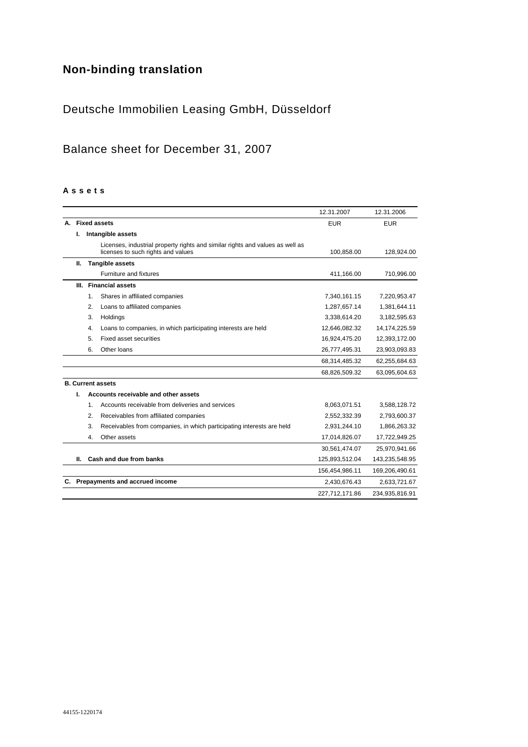# **Non-binding translation**

# Deutsche Immobilien Leasing GmbH, Düsseldorf

# Balance sheet for December 31, 2007

#### **A s s e t s**

|    |    |                                                                                                                     | 12.31.2007     | 12.31.2006      |
|----|----|---------------------------------------------------------------------------------------------------------------------|----------------|-----------------|
|    |    | A. Fixed assets                                                                                                     | <b>EUR</b>     | <b>EUR</b>      |
|    | ı. | Intangible assets                                                                                                   |                |                 |
|    |    | Licenses, industrial property rights and similar rights and values as well as<br>licenses to such rights and values | 100,858.00     | 128,924.00      |
|    | Ш. | <b>Tangible assets</b>                                                                                              |                |                 |
|    |    | Furniture and fixtures                                                                                              | 411,166.00     | 710,996.00      |
|    |    | III. Financial assets                                                                                               |                |                 |
|    |    | 1.<br>Shares in affiliated companies                                                                                | 7,340,161.15   | 7,220,953.47    |
|    |    | 2.<br>Loans to affiliated companies                                                                                 | 1,287,657.14   | 1,381,644.11    |
|    |    | 3.<br>Holdings                                                                                                      | 3,338,614.20   | 3,182,595.63    |
|    |    | Loans to companies, in which participating interests are held<br>4.                                                 | 12,646,082.32  | 14, 174, 225.59 |
|    |    | 5.<br><b>Fixed asset securities</b>                                                                                 | 16,924,475.20  | 12,393,172.00   |
|    |    | 6.<br>Other loans                                                                                                   | 26,777,495.31  | 23,903,093.83   |
|    |    |                                                                                                                     | 68,314,485.32  | 62,255,684.63   |
|    |    |                                                                                                                     | 68,826,509.32  | 63,095,604.63   |
|    |    | <b>B. Current assets</b>                                                                                            |                |                 |
|    | ı. | Accounts receivable and other assets                                                                                |                |                 |
|    |    | Accounts receivable from deliveries and services<br>1.                                                              | 8,063,071.51   | 3,588,128.72    |
|    |    | 2.<br>Receivables from affiliated companies                                                                         | 2,552,332.39   | 2,793,600.37    |
|    |    | 3.<br>Receivables from companies, in which participating interests are held                                         | 2,931,244.10   | 1,866,263.32    |
|    |    | Other assets<br>4.                                                                                                  | 17,014,826.07  | 17,722,949.25   |
|    |    |                                                                                                                     | 30,561,474.07  | 25,970,941.66   |
|    | Ш. | Cash and due from banks                                                                                             | 125,893,512.04 | 143,235,548.95  |
|    |    |                                                                                                                     | 156,454,986.11 | 169,206,490.61  |
| C. |    | Prepayments and accrued income                                                                                      | 2,430,676.43   | 2,633,721.67    |
|    |    |                                                                                                                     | 227,712,171.86 | 234,935,816.91  |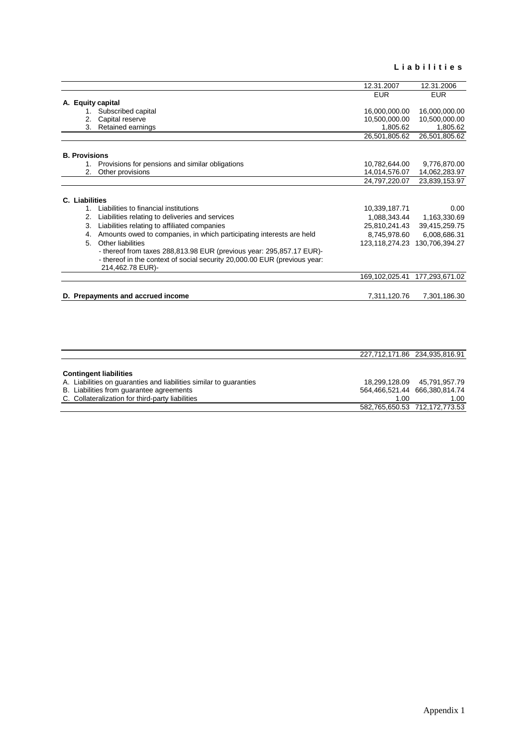#### **L i a b i l i t i e s**

|    |                                                                           | 12.31.2007                                                                                                                                                                                                                                                                                                                                                                                                                                                                         | 12.31.2006                                                                                                    |
|----|---------------------------------------------------------------------------|------------------------------------------------------------------------------------------------------------------------------------------------------------------------------------------------------------------------------------------------------------------------------------------------------------------------------------------------------------------------------------------------------------------------------------------------------------------------------------|---------------------------------------------------------------------------------------------------------------|
|    |                                                                           | <b>EUR</b>                                                                                                                                                                                                                                                                                                                                                                                                                                                                         | <b>EUR</b>                                                                                                    |
|    |                                                                           |                                                                                                                                                                                                                                                                                                                                                                                                                                                                                    |                                                                                                               |
|    | Subscribed capital                                                        | 16,000,000.00                                                                                                                                                                                                                                                                                                                                                                                                                                                                      | 16,000,000.00                                                                                                 |
| 2. |                                                                           | 10,500,000.00                                                                                                                                                                                                                                                                                                                                                                                                                                                                      | 10,500,000.00                                                                                                 |
| 3. |                                                                           |                                                                                                                                                                                                                                                                                                                                                                                                                                                                                    | 1,805.62                                                                                                      |
|    |                                                                           | 26,501,805.62                                                                                                                                                                                                                                                                                                                                                                                                                                                                      | 26,501,805.62                                                                                                 |
|    |                                                                           |                                                                                                                                                                                                                                                                                                                                                                                                                                                                                    |                                                                                                               |
|    |                                                                           |                                                                                                                                                                                                                                                                                                                                                                                                                                                                                    | 9,776,870.00                                                                                                  |
| 2. | Other provisions                                                          | 14,014,576.07                                                                                                                                                                                                                                                                                                                                                                                                                                                                      | 14,062,283.97                                                                                                 |
|    |                                                                           | 24,797,220.07                                                                                                                                                                                                                                                                                                                                                                                                                                                                      | 23,839,153.97                                                                                                 |
|    |                                                                           |                                                                                                                                                                                                                                                                                                                                                                                                                                                                                    |                                                                                                               |
|    |                                                                           |                                                                                                                                                                                                                                                                                                                                                                                                                                                                                    |                                                                                                               |
|    |                                                                           |                                                                                                                                                                                                                                                                                                                                                                                                                                                                                    | 0.00                                                                                                          |
|    |                                                                           |                                                                                                                                                                                                                                                                                                                                                                                                                                                                                    | 1,163,330.69                                                                                                  |
|    |                                                                           |                                                                                                                                                                                                                                                                                                                                                                                                                                                                                    | 39,415,259.75                                                                                                 |
|    |                                                                           |                                                                                                                                                                                                                                                                                                                                                                                                                                                                                    | 6,008,686.31                                                                                                  |
| 5. |                                                                           |                                                                                                                                                                                                                                                                                                                                                                                                                                                                                    | 130,706,394.27                                                                                                |
|    | - thereof in the context of social security 20,000.00 EUR (previous year: |                                                                                                                                                                                                                                                                                                                                                                                                                                                                                    |                                                                                                               |
|    | 214,462.78 EUR)-                                                          |                                                                                                                                                                                                                                                                                                                                                                                                                                                                                    |                                                                                                               |
|    |                                                                           | 169,102,025.41                                                                                                                                                                                                                                                                                                                                                                                                                                                                     | 177,293,671.02                                                                                                |
|    | D. Prepayments and accrued income                                         | 7,311,120.76                                                                                                                                                                                                                                                                                                                                                                                                                                                                       | 7,301,186.30                                                                                                  |
|    | 2.<br>3.<br>4.                                                            | A. Equity capital<br>Capital reserve<br>Retained earnings<br><b>B. Provisions</b><br>Provisions for pensions and similar obligations<br>C. Liabilities<br>Liabilities to financial institutions<br>$1_{-}$<br>Liabilities relating to deliveries and services<br>Liabilities relating to affiliated companies<br>Amounts owed to companies, in which participating interests are held<br>Other liabilities<br>- thereof from taxes 288,813.98 EUR (previous year: 295,857.17 EUR)- | 1,805.62<br>10,782,644.00<br>10,339,187.71<br>1,088,343.44<br>25,810,241.43<br>8,745,978.60<br>123,118,274.23 |

|                                                                    | 227,712,171.86 234,935,816.91 |                             |
|--------------------------------------------------------------------|-------------------------------|-----------------------------|
|                                                                    |                               |                             |
| <b>Contingent liabilities</b>                                      |                               |                             |
| A. Liabilities on quaranties and liabilities similar to quaranties |                               | 18.299.128.09 45.791.957.79 |
| B. Liabilities from guarantee agreements                           | 564,466,521.44 666,380,814.74 |                             |
| C. Collateralization for third-party liabilities                   | 1.00                          | 1.00                        |
|                                                                    | 582,765,650.53 712,172,773.53 |                             |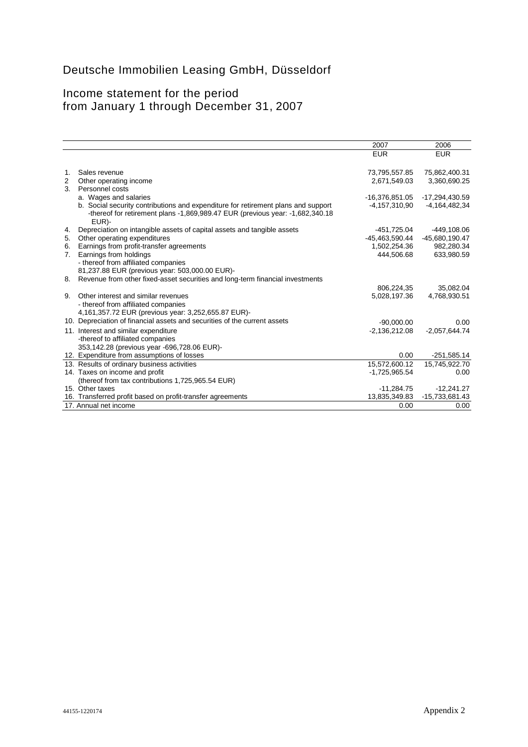# Deutsche Immobilien Leasing GmbH, Düsseldorf

# Income statement for the period from January 1 through December 31, 2007

| <b>EUR</b><br><b>EUR</b><br>Sales revenue<br>73,795,557.85<br>75,862,400.31<br>1.<br>3,360,690.25<br>2,671,549.03<br>2<br>Other operating income<br>Personnel costs<br>3.<br>a. Wages and salaries<br>$-16,376,851.05$<br>-17,294,430.59<br>b. Social security contributions and expenditure for retirement plans and support<br>$-4,157,310,90$<br>$-4,164,482,34$<br>-thereof for retirement plans -1,869,989.47 EUR (previous year: -1,682,340.18)<br>EUR)-<br>Depreciation on intangible assets of capital assets and tangible assets<br>-449,108.06<br>-451,725.04<br>4.<br>Other operating expenditures<br>$-45,463,590.44$<br>-45,680,190.47<br>5.<br>Earnings from profit-transfer agreements<br>1,502,254.36<br>982,280.34<br>6.<br>444.506.68<br>633,980.59<br>Earnings from holdings<br>7.<br>- thereof from affiliated companies<br>81,237.88 EUR (previous year: 503,000.00 EUR)-<br>Revenue from other fixed-asset securities and long-term financial investments<br>8.<br>35,082.04<br>806,224,35<br>Other interest and similar revenues<br>9.<br>5,028,197.36<br>4,768,930.51<br>- thereof from affiliated companies<br>4,161,357.72 EUR (previous year: 3,252,655.87 EUR)-<br>10. Depreciation of financial assets and securities of the current assets<br>$-90.000.00$<br>0.00<br>$-2,136,212.08$<br>$-2,057,644.74$<br>11. Interest and similar expenditure<br>-thereof to affiliated companies<br>353,142.28 (previous year -696,728.06 EUR)-<br>12. Expenditure from assumptions of losses<br>0.00<br>$-251,585.14$<br>13. Results of ordinary business activities<br>15,572,600.12<br>15,745,922.70<br>14. Taxes on income and profit<br>$-1,725,965.54$<br>0.00<br>(thereof from tax contributions 1,725,965.54 EUR)<br>15. Other taxes<br>$-11,284.75$<br>$-12,241.27$<br>-15,733,681.43<br>16. Transferred profit based on profit-transfer agreements<br>13,835,349.83<br>17. Annual net income<br>0.00<br>0.00 |  | 2007 | 2006 |
|------------------------------------------------------------------------------------------------------------------------------------------------------------------------------------------------------------------------------------------------------------------------------------------------------------------------------------------------------------------------------------------------------------------------------------------------------------------------------------------------------------------------------------------------------------------------------------------------------------------------------------------------------------------------------------------------------------------------------------------------------------------------------------------------------------------------------------------------------------------------------------------------------------------------------------------------------------------------------------------------------------------------------------------------------------------------------------------------------------------------------------------------------------------------------------------------------------------------------------------------------------------------------------------------------------------------------------------------------------------------------------------------------------------------------------------------------------------------------------------------------------------------------------------------------------------------------------------------------------------------------------------------------------------------------------------------------------------------------------------------------------------------------------------------------------------------------------------------------------------------------------------------------------------------------------------|--|------|------|
|                                                                                                                                                                                                                                                                                                                                                                                                                                                                                                                                                                                                                                                                                                                                                                                                                                                                                                                                                                                                                                                                                                                                                                                                                                                                                                                                                                                                                                                                                                                                                                                                                                                                                                                                                                                                                                                                                                                                          |  |      |      |
|                                                                                                                                                                                                                                                                                                                                                                                                                                                                                                                                                                                                                                                                                                                                                                                                                                                                                                                                                                                                                                                                                                                                                                                                                                                                                                                                                                                                                                                                                                                                                                                                                                                                                                                                                                                                                                                                                                                                          |  |      |      |
|                                                                                                                                                                                                                                                                                                                                                                                                                                                                                                                                                                                                                                                                                                                                                                                                                                                                                                                                                                                                                                                                                                                                                                                                                                                                                                                                                                                                                                                                                                                                                                                                                                                                                                                                                                                                                                                                                                                                          |  |      |      |
|                                                                                                                                                                                                                                                                                                                                                                                                                                                                                                                                                                                                                                                                                                                                                                                                                                                                                                                                                                                                                                                                                                                                                                                                                                                                                                                                                                                                                                                                                                                                                                                                                                                                                                                                                                                                                                                                                                                                          |  |      |      |
|                                                                                                                                                                                                                                                                                                                                                                                                                                                                                                                                                                                                                                                                                                                                                                                                                                                                                                                                                                                                                                                                                                                                                                                                                                                                                                                                                                                                                                                                                                                                                                                                                                                                                                                                                                                                                                                                                                                                          |  |      |      |
|                                                                                                                                                                                                                                                                                                                                                                                                                                                                                                                                                                                                                                                                                                                                                                                                                                                                                                                                                                                                                                                                                                                                                                                                                                                                                                                                                                                                                                                                                                                                                                                                                                                                                                                                                                                                                                                                                                                                          |  |      |      |
|                                                                                                                                                                                                                                                                                                                                                                                                                                                                                                                                                                                                                                                                                                                                                                                                                                                                                                                                                                                                                                                                                                                                                                                                                                                                                                                                                                                                                                                                                                                                                                                                                                                                                                                                                                                                                                                                                                                                          |  |      |      |
|                                                                                                                                                                                                                                                                                                                                                                                                                                                                                                                                                                                                                                                                                                                                                                                                                                                                                                                                                                                                                                                                                                                                                                                                                                                                                                                                                                                                                                                                                                                                                                                                                                                                                                                                                                                                                                                                                                                                          |  |      |      |
|                                                                                                                                                                                                                                                                                                                                                                                                                                                                                                                                                                                                                                                                                                                                                                                                                                                                                                                                                                                                                                                                                                                                                                                                                                                                                                                                                                                                                                                                                                                                                                                                                                                                                                                                                                                                                                                                                                                                          |  |      |      |
|                                                                                                                                                                                                                                                                                                                                                                                                                                                                                                                                                                                                                                                                                                                                                                                                                                                                                                                                                                                                                                                                                                                                                                                                                                                                                                                                                                                                                                                                                                                                                                                                                                                                                                                                                                                                                                                                                                                                          |  |      |      |
|                                                                                                                                                                                                                                                                                                                                                                                                                                                                                                                                                                                                                                                                                                                                                                                                                                                                                                                                                                                                                                                                                                                                                                                                                                                                                                                                                                                                                                                                                                                                                                                                                                                                                                                                                                                                                                                                                                                                          |  |      |      |
|                                                                                                                                                                                                                                                                                                                                                                                                                                                                                                                                                                                                                                                                                                                                                                                                                                                                                                                                                                                                                                                                                                                                                                                                                                                                                                                                                                                                                                                                                                                                                                                                                                                                                                                                                                                                                                                                                                                                          |  |      |      |
|                                                                                                                                                                                                                                                                                                                                                                                                                                                                                                                                                                                                                                                                                                                                                                                                                                                                                                                                                                                                                                                                                                                                                                                                                                                                                                                                                                                                                                                                                                                                                                                                                                                                                                                                                                                                                                                                                                                                          |  |      |      |
|                                                                                                                                                                                                                                                                                                                                                                                                                                                                                                                                                                                                                                                                                                                                                                                                                                                                                                                                                                                                                                                                                                                                                                                                                                                                                                                                                                                                                                                                                                                                                                                                                                                                                                                                                                                                                                                                                                                                          |  |      |      |
|                                                                                                                                                                                                                                                                                                                                                                                                                                                                                                                                                                                                                                                                                                                                                                                                                                                                                                                                                                                                                                                                                                                                                                                                                                                                                                                                                                                                                                                                                                                                                                                                                                                                                                                                                                                                                                                                                                                                          |  |      |      |
|                                                                                                                                                                                                                                                                                                                                                                                                                                                                                                                                                                                                                                                                                                                                                                                                                                                                                                                                                                                                                                                                                                                                                                                                                                                                                                                                                                                                                                                                                                                                                                                                                                                                                                                                                                                                                                                                                                                                          |  |      |      |
|                                                                                                                                                                                                                                                                                                                                                                                                                                                                                                                                                                                                                                                                                                                                                                                                                                                                                                                                                                                                                                                                                                                                                                                                                                                                                                                                                                                                                                                                                                                                                                                                                                                                                                                                                                                                                                                                                                                                          |  |      |      |
|                                                                                                                                                                                                                                                                                                                                                                                                                                                                                                                                                                                                                                                                                                                                                                                                                                                                                                                                                                                                                                                                                                                                                                                                                                                                                                                                                                                                                                                                                                                                                                                                                                                                                                                                                                                                                                                                                                                                          |  |      |      |
|                                                                                                                                                                                                                                                                                                                                                                                                                                                                                                                                                                                                                                                                                                                                                                                                                                                                                                                                                                                                                                                                                                                                                                                                                                                                                                                                                                                                                                                                                                                                                                                                                                                                                                                                                                                                                                                                                                                                          |  |      |      |
|                                                                                                                                                                                                                                                                                                                                                                                                                                                                                                                                                                                                                                                                                                                                                                                                                                                                                                                                                                                                                                                                                                                                                                                                                                                                                                                                                                                                                                                                                                                                                                                                                                                                                                                                                                                                                                                                                                                                          |  |      |      |
|                                                                                                                                                                                                                                                                                                                                                                                                                                                                                                                                                                                                                                                                                                                                                                                                                                                                                                                                                                                                                                                                                                                                                                                                                                                                                                                                                                                                                                                                                                                                                                                                                                                                                                                                                                                                                                                                                                                                          |  |      |      |
|                                                                                                                                                                                                                                                                                                                                                                                                                                                                                                                                                                                                                                                                                                                                                                                                                                                                                                                                                                                                                                                                                                                                                                                                                                                                                                                                                                                                                                                                                                                                                                                                                                                                                                                                                                                                                                                                                                                                          |  |      |      |
|                                                                                                                                                                                                                                                                                                                                                                                                                                                                                                                                                                                                                                                                                                                                                                                                                                                                                                                                                                                                                                                                                                                                                                                                                                                                                                                                                                                                                                                                                                                                                                                                                                                                                                                                                                                                                                                                                                                                          |  |      |      |
|                                                                                                                                                                                                                                                                                                                                                                                                                                                                                                                                                                                                                                                                                                                                                                                                                                                                                                                                                                                                                                                                                                                                                                                                                                                                                                                                                                                                                                                                                                                                                                                                                                                                                                                                                                                                                                                                                                                                          |  |      |      |
|                                                                                                                                                                                                                                                                                                                                                                                                                                                                                                                                                                                                                                                                                                                                                                                                                                                                                                                                                                                                                                                                                                                                                                                                                                                                                                                                                                                                                                                                                                                                                                                                                                                                                                                                                                                                                                                                                                                                          |  |      |      |
|                                                                                                                                                                                                                                                                                                                                                                                                                                                                                                                                                                                                                                                                                                                                                                                                                                                                                                                                                                                                                                                                                                                                                                                                                                                                                                                                                                                                                                                                                                                                                                                                                                                                                                                                                                                                                                                                                                                                          |  |      |      |
|                                                                                                                                                                                                                                                                                                                                                                                                                                                                                                                                                                                                                                                                                                                                                                                                                                                                                                                                                                                                                                                                                                                                                                                                                                                                                                                                                                                                                                                                                                                                                                                                                                                                                                                                                                                                                                                                                                                                          |  |      |      |
|                                                                                                                                                                                                                                                                                                                                                                                                                                                                                                                                                                                                                                                                                                                                                                                                                                                                                                                                                                                                                                                                                                                                                                                                                                                                                                                                                                                                                                                                                                                                                                                                                                                                                                                                                                                                                                                                                                                                          |  |      |      |
|                                                                                                                                                                                                                                                                                                                                                                                                                                                                                                                                                                                                                                                                                                                                                                                                                                                                                                                                                                                                                                                                                                                                                                                                                                                                                                                                                                                                                                                                                                                                                                                                                                                                                                                                                                                                                                                                                                                                          |  |      |      |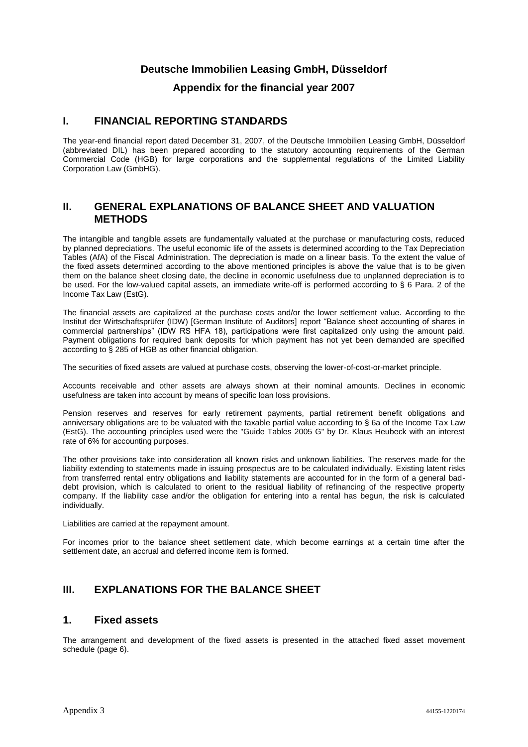### **Deutsche Immobilien Leasing GmbH, Düsseldorf**

#### **Appendix for the financial year 2007**

### **I. FINANCIAL REPORTING STANDARDS**

The year-end financial report dated December 31, 2007, of the Deutsche Immobilien Leasing GmbH, Düsseldorf (abbreviated DIL) has been prepared according to the statutory accounting requirements of the German Commercial Code (HGB) for large corporations and the supplemental regulations of the Limited Liability Corporation Law (GmbHG).

### **II. GENERAL EXPLANATIONS OF BALANCE SHEET AND VALUATION METHODS**

The intangible and tangible assets are fundamentally valuated at the purchase or manufacturing costs, reduced by planned depreciations. The useful economic life of the assets is determined according to the Tax Depreciation Tables (AfA) of the Fiscal Administration. The depreciation is made on a linear basis. To the extent the value of the fixed assets determined according to the above mentioned principles is above the value that is to be given them on the balance sheet closing date, the decline in economic usefulness due to unplanned depreciation is to be used. For the low-valued capital assets, an immediate write-off is performed according to § 6 Para. 2 of the Income Tax Law (EstG).

The financial assets are capitalized at the purchase costs and/or the lower settlement value. According to the Institut der Wirtschaftsprüfer (IDW) [German Institute of Auditors] report "Balance sheet accounting of shares in commercial partnerships" (IDW RS HFA 18), participations were first capitalized only using the amount paid. Payment obligations for required bank deposits for which payment has not yet been demanded are specified according to § 285 of HGB as other financial obligation.

The securities of fixed assets are valued at purchase costs, observing the lower-of-cost-or-market principle.

Accounts receivable and other assets are always shown at their nominal amounts. Declines in economic usefulness are taken into account by means of specific loan loss provisions.

Pension reserves and reserves for early retirement payments, partial retirement benefit obligations and anniversary obligations are to be valuated with the taxable partial value according to § 6a of the Income Tax Law (EstG). The accounting principles used were the "Guide Tables 2005 G" by Dr. Klaus Heubeck with an interest rate of 6% for accounting purposes.

The other provisions take into consideration all known risks and unknown liabilities. The reserves made for the liability extending to statements made in issuing prospectus are to be calculated individually. Existing latent risks from transferred rental entry obligations and liability statements are accounted for in the form of a general baddebt provision, which is calculated to orient to the residual liability of refinancing of the respective property company. If the liability case and/or the obligation for entering into a rental has begun, the risk is calculated individually.

Liabilities are carried at the repayment amount.

For incomes prior to the balance sheet settlement date, which become earnings at a certain time after the settlement date, an accrual and deferred income item is formed.

# **III. EXPLANATIONS FOR THE BALANCE SHEET**

#### **1. Fixed assets**

The arrangement and development of the fixed assets is presented in the attached fixed asset movement schedule (page 6).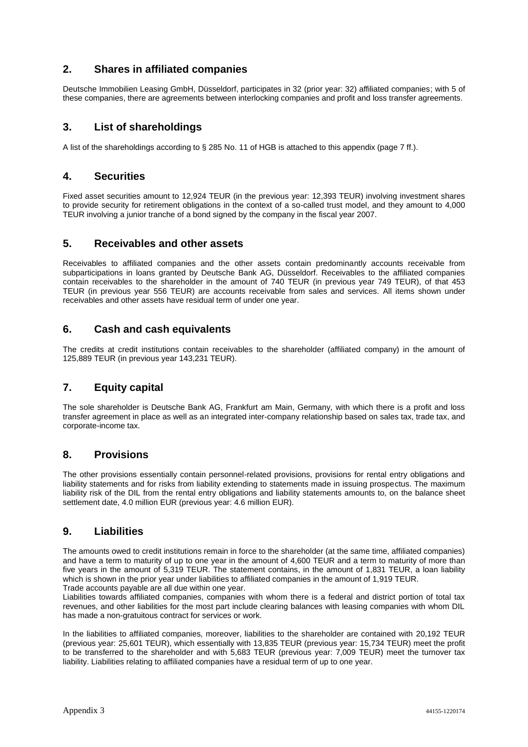# **2. Shares in affiliated companies**

Deutsche Immobilien Leasing GmbH, Düsseldorf, participates in 32 (prior year: 32) affiliated companies; with 5 of these companies, there are agreements between interlocking companies and profit and loss transfer agreements.

# **3. List of shareholdings**

A list of the shareholdings according to § 285 No. 11 of HGB is attached to this appendix (page 7 ff.).

#### **4. Securities**

Fixed asset securities amount to 12,924 TEUR (in the previous year: 12,393 TEUR) involving investment shares to provide security for retirement obligations in the context of a so-called trust model, and they amount to 4,000 TEUR involving a junior tranche of a bond signed by the company in the fiscal year 2007.

#### **5. Receivables and other assets**

Receivables to affiliated companies and the other assets contain predominantly accounts receivable from subparticipations in loans granted by Deutsche Bank AG, Düsseldorf. Receivables to the affiliated companies contain receivables to the shareholder in the amount of 740 TEUR (in previous year 749 TEUR), of that 453 TEUR (in previous year 556 TEUR) are accounts receivable from sales and services. All items shown under receivables and other assets have residual term of under one year.

#### **6. Cash and cash equivalents**

The credits at credit institutions contain receivables to the shareholder (affiliated company) in the amount of 125,889 TEUR (in previous year 143,231 TEUR).

#### **7. Equity capital**

The sole shareholder is Deutsche Bank AG, Frankfurt am Main, Germany, with which there is a profit and loss transfer agreement in place as well as an integrated inter-company relationship based on sales tax, trade tax, and corporate-income tax.

#### **8. Provisions**

The other provisions essentially contain personnel-related provisions, provisions for rental entry obligations and liability statements and for risks from liability extending to statements made in issuing prospectus. The maximum liability risk of the DIL from the rental entry obligations and liability statements amounts to, on the balance sheet settlement date, 4.0 million EUR (previous year: 4.6 million EUR).

#### **9. Liabilities**

The amounts owed to credit institutions remain in force to the shareholder (at the same time, affiliated companies) and have a term to maturity of up to one year in the amount of 4,600 TEUR and a term to maturity of more than five years in the amount of 5,319 TEUR. The statement contains, in the amount of 1,831 TEUR, a loan liability which is shown in the prior year under liabilities to affiliated companies in the amount of 1,919 TEUR. Trade accounts payable are all due within one year.

Liabilities towards affiliated companies, companies with whom there is a federal and district portion of total tax revenues, and other liabilities for the most part include clearing balances with leasing companies with whom DIL has made a non-gratuitous contract for services or work.

In the liabilities to affiliated companies, moreover, liabilities to the shareholder are contained with 20,192 TEUR (previous year: 25,601 TEUR), which essentially with 13,835 TEUR (previous year: 15,734 TEUR) meet the profit to be transferred to the shareholder and with 5,683 TEUR (previous year: 7,009 TEUR) meet the turnover tax liability. Liabilities relating to affiliated companies have a residual term of up to one year.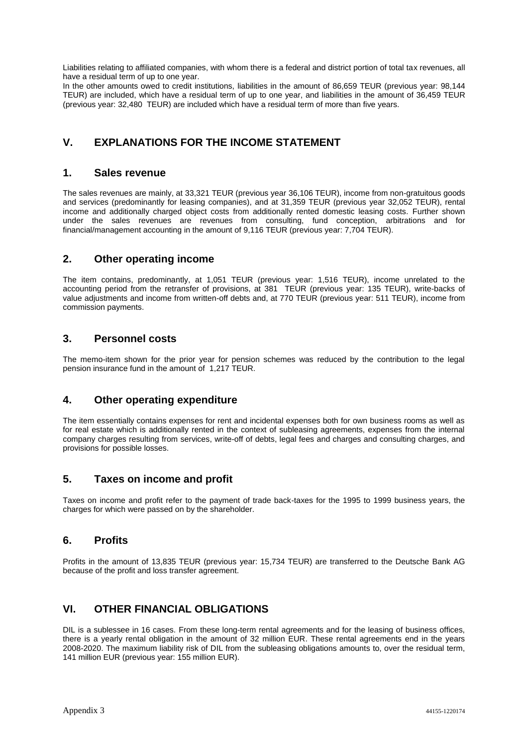Liabilities relating to affiliated companies, with whom there is a federal and district portion of total tax revenues, all have a residual term of up to one year.

In the other amounts owed to credit institutions, liabilities in the amount of 86,659 TEUR (previous year: 98,144 TEUR) are included, which have a residual term of up to one year, and liabilities in the amount of 36,459 TEUR (previous year: 32,480 TEUR) are included which have a residual term of more than five years.

# **V. EXPLANATIONS FOR THE INCOME STATEMENT**

### **1. Sales revenue**

The sales revenues are mainly, at 33,321 TEUR (previous year 36,106 TEUR), income from non-gratuitous goods and services (predominantly for leasing companies), and at 31,359 TEUR (previous year 32,052 TEUR), rental income and additionally charged object costs from additionally rented domestic leasing costs. Further shown under the sales revenues are revenues from consulting, fund conception, arbitrations and for financial/management accounting in the amount of 9,116 TEUR (previous year: 7,704 TEUR).

#### **2. Other operating income**

The item contains, predominantly, at 1,051 TEUR (previous year: 1,516 TEUR), income unrelated to the accounting period from the retransfer of provisions, at 381 TEUR (previous year: 135 TEUR), write-backs of value adjustments and income from written-off debts and, at 770 TEUR (previous year: 511 TEUR), income from commission payments.

#### **3. Personnel costs**

The memo-item shown for the prior year for pension schemes was reduced by the contribution to the legal pension insurance fund in the amount of 1,217 TEUR.

#### **4. Other operating expenditure**

The item essentially contains expenses for rent and incidental expenses both for own business rooms as well as for real estate which is additionally rented in the context of subleasing agreements, expenses from the internal company charges resulting from services, write-off of debts, legal fees and charges and consulting charges, and provisions for possible losses.

#### **5. Taxes on income and profit**

Taxes on income and profit refer to the payment of trade back-taxes for the 1995 to 1999 business years, the charges for which were passed on by the shareholder.

#### **6. Profits**

Profits in the amount of 13,835 TEUR (previous year: 15,734 TEUR) are transferred to the Deutsche Bank AG because of the profit and loss transfer agreement.

#### **VI. OTHER FINANCIAL OBLIGATIONS**

DIL is a sublessee in 16 cases. From these long-term rental agreements and for the leasing of business offices, there is a yearly rental obligation in the amount of 32 million EUR. These rental agreements end in the years 2008-2020. The maximum liability risk of DIL from the subleasing obligations amounts to, over the residual term, 141 million EUR (previous year: 155 million EUR).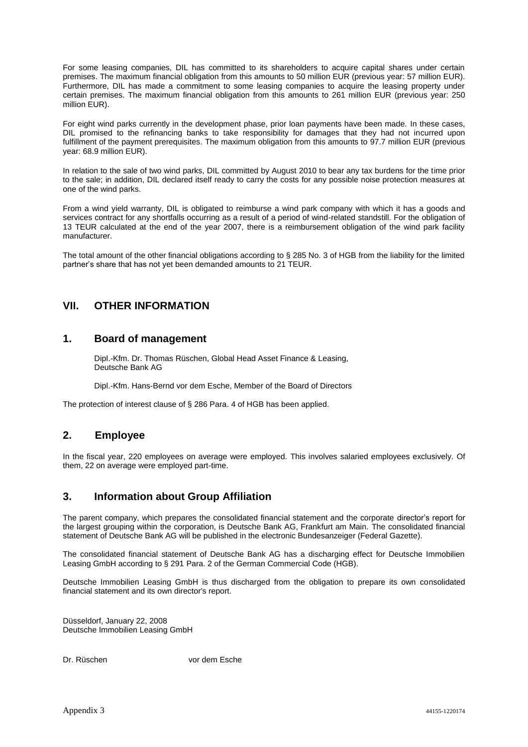For some leasing companies, DIL has committed to its shareholders to acquire capital shares under certain premises. The maximum financial obligation from this amounts to 50 million EUR (previous year: 57 million EUR). Furthermore, DIL has made a commitment to some leasing companies to acquire the leasing property under certain premises. The maximum financial obligation from this amounts to 261 million EUR (previous year: 250 million EUR).

For eight wind parks currently in the development phase, prior loan payments have been made. In these cases, DIL promised to the refinancing banks to take responsibility for damages that they had not incurred upon fulfillment of the payment prerequisites. The maximum obligation from this amounts to 97.7 million EUR (previous year: 68.9 million EUR).

In relation to the sale of two wind parks, DIL committed by August 2010 to bear any tax burdens for the time prior to the sale; in addition, DIL declared itself ready to carry the costs for any possible noise protection measures at one of the wind parks.

From a wind yield warranty, DIL is obligated to reimburse a wind park company with which it has a goods and services contract for any shortfalls occurring as a result of a period of wind-related standstill. For the obligation of 13 TEUR calculated at the end of the year 2007, there is a reimbursement obligation of the wind park facility manufacturer.

The total amount of the other financial obligations according to § 285 No. 3 of HGB from the liability for the limited partner's share that has not yet been demanded amounts to 21 TEUR.

### **VII. OTHER INFORMATION**

#### **1. Board of management**

Dipl.-Kfm. Dr. Thomas Rüschen, Global Head Asset Finance & Leasing, Deutsche Bank AG

Dipl.-Kfm. Hans-Bernd vor dem Esche, Member of the Board of Directors

The protection of interest clause of § 286 Para. 4 of HGB has been applied.

#### **2. Employee**

In the fiscal year, 220 employees on average were employed. This involves salaried employees exclusively. Of them, 22 on average were employed part-time.

#### **3. Information about Group Affiliation**

The parent company, which prepares the consolidated financial statement and the corporate director's report for the largest grouping within the corporation, is Deutsche Bank AG, Frankfurt am Main. The consolidated financial statement of Deutsche Bank AG will be published in the electronic Bundesanzeiger (Federal Gazette).

The consolidated financial statement of Deutsche Bank AG has a discharging effect for Deutsche Immobilien Leasing GmbH according to § 291 Para. 2 of the German Commercial Code (HGB).

Deutsche Immobilien Leasing GmbH is thus discharged from the obligation to prepare its own consolidated financial statement and its own director's report.

Düsseldorf, January 22, 2008 Deutsche Immobilien Leasing GmbH

Dr. Rüschen vor dem Esche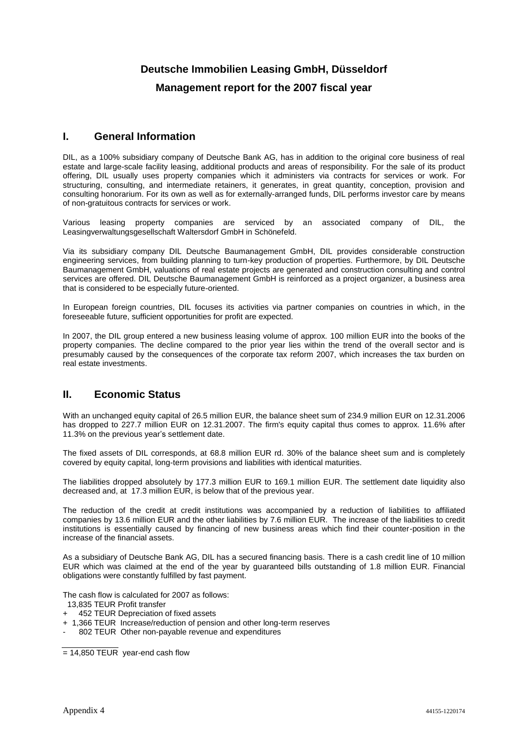# **Deutsche Immobilien Leasing GmbH, Düsseldorf Management report for the 2007 fiscal year**

#### **I. General Information**

DIL, as a 100% subsidiary company of Deutsche Bank AG, has in addition to the original core business of real estate and large-scale facility leasing, additional products and areas of responsibility. For the sale of its product offering, DIL usually uses property companies which it administers via contracts for services or work. For structuring, consulting, and intermediate retainers, it generates, in great quantity, conception, provision and consulting honorarium. For its own as well as for externally-arranged funds, DIL performs investor care by means of non-gratuitous contracts for services or work.

Various leasing property companies are serviced by an associated company of DIL, the Leasingverwaltungsgesellschaft Waltersdorf GmbH in Schönefeld.

Via its subsidiary company DIL Deutsche Baumanagement GmbH, DIL provides considerable construction engineering services, from building planning to turn-key production of properties. Furthermore, by DIL Deutsche Baumanagement GmbH, valuations of real estate projects are generated and construction consulting and control services are offered. DIL Deutsche Baumanagement GmbH is reinforced as a project organizer, a business area that is considered to be especially future-oriented.

In European foreign countries, DIL focuses its activities via partner companies on countries in which, in the foreseeable future, sufficient opportunities for profit are expected.

In 2007, the DIL group entered a new business leasing volume of approx. 100 million EUR into the books of the property companies. The decline compared to the prior year lies within the trend of the overall sector and is presumably caused by the consequences of the corporate tax reform 2007, which increases the tax burden on real estate investments.

# **II. Economic Status**

With an unchanged equity capital of 26.5 million EUR, the balance sheet sum of 234.9 million EUR on 12.31.2006 has dropped to 227.7 million EUR on 12.31.2007. The firm's equity capital thus comes to approx. 11.6% after 11.3% on the previous year's settlement date.

The fixed assets of DIL corresponds, at 68.8 million EUR rd. 30% of the balance sheet sum and is completely covered by equity capital, long-term provisions and liabilities with identical maturities.

The liabilities dropped absolutely by 177.3 million EUR to 169.1 million EUR. The settlement date liquidity also decreased and, at 17.3 million EUR, is below that of the previous year.

The reduction of the credit at credit institutions was accompanied by a reduction of liabilities to affiliated companies by 13.6 million EUR and the other liabilities by 7.6 million EUR. The increase of the liabilities to credit institutions is essentially caused by financing of new business areas which find their counter-position in the increase of the financial assets.

As a subsidiary of Deutsche Bank AG, DIL has a secured financing basis. There is a cash credit line of 10 million EUR which was claimed at the end of the year by guaranteed bills outstanding of 1.8 million EUR. Financial obligations were constantly fulfilled by fast payment.

The cash flow is calculated for 2007 as follows:

- 13,835 TEUR Profit transfer
- 452 TEUR Depreciation of fixed assets
- + 1,366 TEUR Increase/reduction of pension and other long-term reserves
- 802 TEUR Other non-payable revenue and expenditures

 $= 14,850$  TEUR year-end cash flow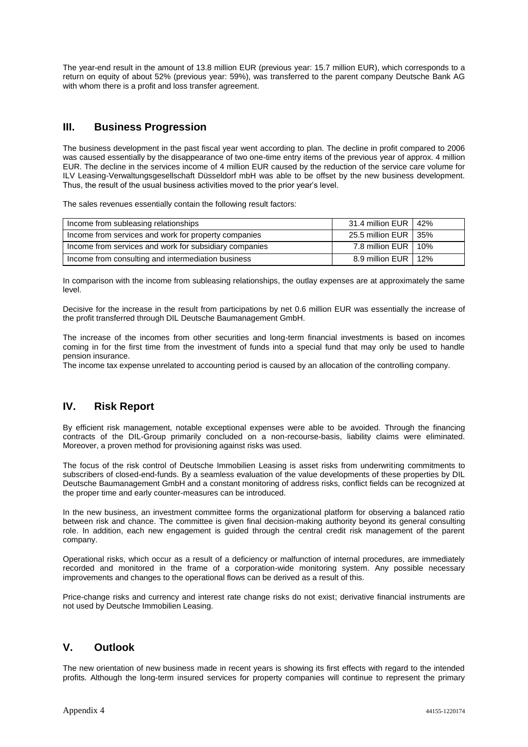The year-end result in the amount of 13.8 million EUR (previous year: 15.7 million EUR), which corresponds to a return on equity of about 52% (previous year: 59%), was transferred to the parent company Deutsche Bank AG with whom there is a profit and loss transfer agreement.

# **III. Business Progression**

The business development in the past fiscal year went according to plan. The decline in profit compared to 2006 was caused essentially by the disappearance of two one-time entry items of the previous year of approx. 4 million EUR. The decline in the services income of 4 million EUR caused by the reduction of the service care volume for ILV Leasing-Verwaltungsgesellschaft Düsseldorf mbH was able to be offset by the new business development. Thus, the result of the usual business activities moved to the prior year's level.

The sales revenues essentially contain the following result factors:

| Income from subleasing relationships                   | 31.4 million EUR   42% |  |
|--------------------------------------------------------|------------------------|--|
| Income from services and work for property companies   | 25.5 million EUR   35% |  |
| Income from services and work for subsidiary companies | 7.8 million EUR   10%  |  |
| Income from consulting and intermediation business     | 8.9 million EUR   12%  |  |

In comparison with the income from subleasing relationships, the outlay expenses are at approximately the same level.

Decisive for the increase in the result from participations by net 0.6 million EUR was essentially the increase of the profit transferred through DIL Deutsche Baumanagement GmbH.

The increase of the incomes from other securities and long-term financial investments is based on incomes coming in for the first time from the investment of funds into a special fund that may only be used to handle pension insurance.

The income tax expense unrelated to accounting period is caused by an allocation of the controlling company.

# **IV. Risk Report**

By efficient risk management, notable exceptional expenses were able to be avoided. Through the financing contracts of the DIL-Group primarily concluded on a non-recourse-basis, liability claims were eliminated. Moreover, a proven method for provisioning against risks was used.

The focus of the risk control of Deutsche Immobilien Leasing is asset risks from underwriting commitments to subscribers of closed-end-funds. By a seamless evaluation of the value developments of these properties by DIL Deutsche Baumanagement GmbH and a constant monitoring of address risks, conflict fields can be recognized at the proper time and early counter-measures can be introduced.

In the new business, an investment committee forms the organizational platform for observing a balanced ratio between risk and chance. The committee is given final decision-making authority beyond its general consulting role. In addition, each new engagement is guided through the central credit risk management of the parent company.

Operational risks, which occur as a result of a deficiency or malfunction of internal procedures, are immediately recorded and monitored in the frame of a corporation-wide monitoring system. Any possible necessary improvements and changes to the operational flows can be derived as a result of this.

Price-change risks and currency and interest rate change risks do not exist; derivative financial instruments are not used by Deutsche Immobilien Leasing.

# **V. Outlook**

The new orientation of new business made in recent years is showing its first effects with regard to the intended profits. Although the long-term insured services for property companies will continue to represent the primary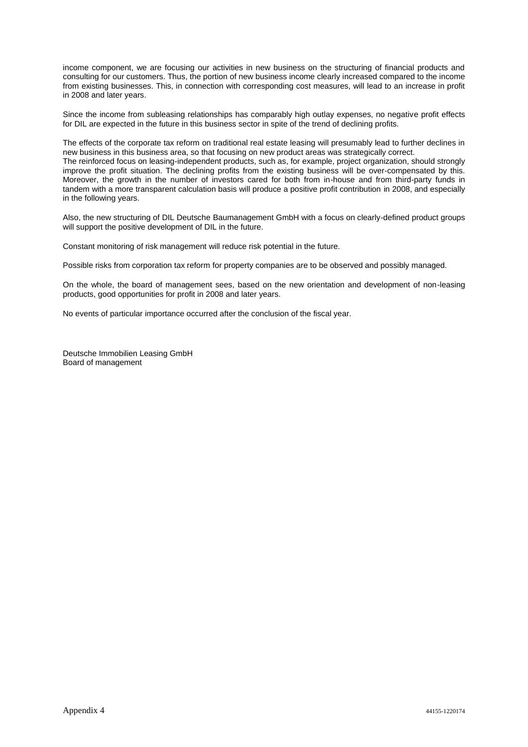income component, we are focusing our activities in new business on the structuring of financial products and consulting for our customers. Thus, the portion of new business income clearly increased compared to the income from existing businesses. This, in connection with corresponding cost measures, will lead to an increase in profit in 2008 and later years.

Since the income from subleasing relationships has comparably high outlay expenses, no negative profit effects for DIL are expected in the future in this business sector in spite of the trend of declining profits.

The effects of the corporate tax reform on traditional real estate leasing will presumably lead to further declines in new business in this business area, so that focusing on new product areas was strategically correct. The reinforced focus on leasing-independent products, such as, for example, project organization, should strongly improve the profit situation. The declining profits from the existing business will be over-compensated by this. Moreover, the growth in the number of investors cared for both from in-house and from third-party funds in tandem with a more transparent calculation basis will produce a positive profit contribution in 2008, and especially in the following years.

Also, the new structuring of DIL Deutsche Baumanagement GmbH with a focus on clearly-defined product groups will support the positive development of DIL in the future.

Constant monitoring of risk management will reduce risk potential in the future.

Possible risks from corporation tax reform for property companies are to be observed and possibly managed.

On the whole, the board of management sees, based on the new orientation and development of non-leasing products, good opportunities for profit in 2008 and later years.

No events of particular importance occurred after the conclusion of the fiscal year.

Deutsche Immobilien Leasing GmbH Board of management